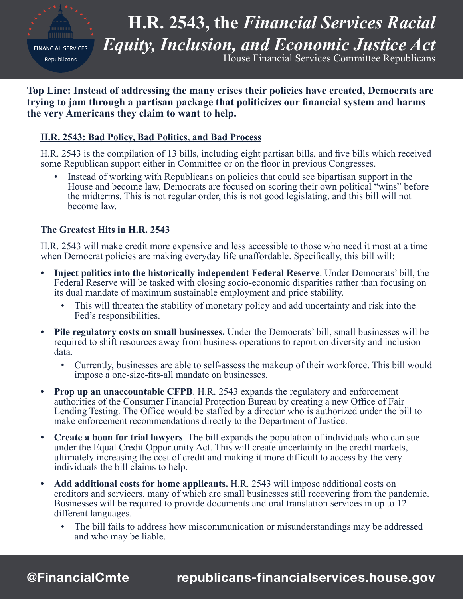

**H.R. 2543, the** *Financial Services Racial Equity, Inclusion, and Economic Justice Act* House Financial Services Committee Republicans

**Top Line: Instead of addressing the many crises their policies have created, Democrats are trying to jam through a partisan package that politicizes our financial system and harms the very Americans they claim to want to help.**

## **H.R. 2543: Bad Policy, Bad Politics, and Bad Process**

H.R. 2543 is the compilation of 13 bills, including eight partisan bills, and five bills which received some Republican support either in Committee or on the floor in previous Congresses.

• Instead of working with Republicans on policies that could see bipartisan support in the House and become law, Democrats are focused on scoring their own political "wins" before the midterms. This is not regular order, this is not good legislating, and this bill will not become law.

## **The Greatest Hits in H.R. 2543**

H.R. 2543 will make credit more expensive and less accessible to those who need it most at a time when Democrat policies are making everyday life unaffordable. Specifically, this bill will:

- **• Inject politics into the historically independent Federal Reserve**. Under Democrats' bill, the Federal Reserve will be tasked with closing socio-economic disparities rather than focusing on its dual mandate of maximum sustainable employment and price stability.
	- This will threaten the stability of monetary policy and add uncertainty and risk into the Fed's responsibilities.
- **• Pile regulatory costs on small businesses.** Under the Democrats' bill, small businesses will be required to shift resources away from business operations to report on diversity and inclusion data.
	- Currently, businesses are able to self-assess the makeup of their workforce. This bill would impose a one-size-fits-all mandate on businesses.
- **Prop up an unaccountable CFPB.** H.R. 2543 expands the regulatory and enforcement authorities of the Consumer Financial Protection Bureau by creating a new Office of Fair Lending Testing. The Office would be staffed by a director who is authorized under the bill to make enforcement recommendations directly to the Department of Justice.
- **• Create a boon for trial lawyers**. The bill expands the population of individuals who can sue under the Equal Credit Opportunity Act. This will create uncertainty in the credit markets, ultimately increasing the cost of credit and making it more difficult to access by the very individuals the bill claims to help.
- **• Add additional costs for home applicants.** H.R. 2543 will impose additional costs on creditors and servicers, many of which are small businesses still recovering from the pandemic. Businesses will be required to provide documents and oral translation services in up to 12 different languages.
	- The bill fails to address how miscommunication or misunderstandings may be addressed and who may be liable.